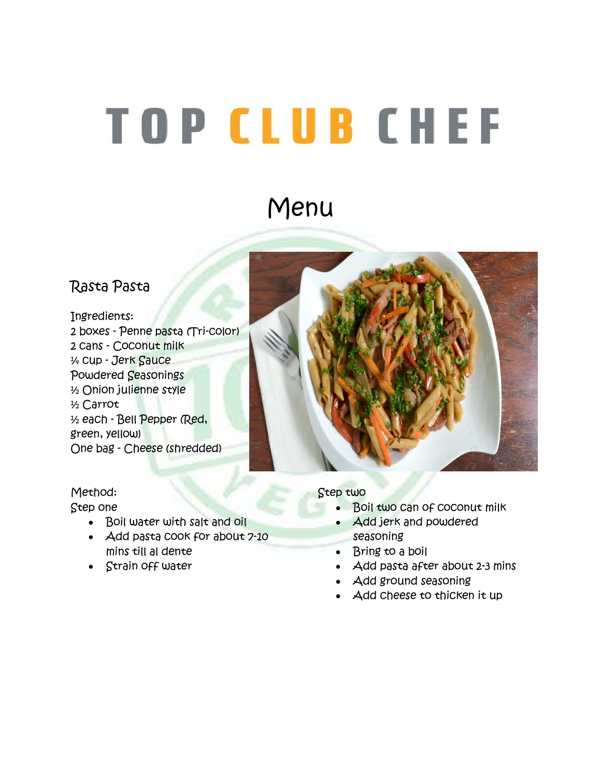# **TOP CLUB CHEF**

## Menu

#### Rasta Pasta

Ingredients: 2 boxes - Penne pasta (Tri-color) 2 cans - Coconut milk ¼ cup - Jerk Sauce Powdered Seasonings ½ Onion julienne style ½ Carrot ½ each - Bell Pepper (Red, green, yellow) One bag - Cheese (shredded)

#### Method: Step one

- Boil water with salt and oil
- Add pasta cook for about 7-10 mins till al dente
- Strain off water

#### Step two

- Boil two can of coconut milk
- Add jerk and powdered seasoning
- Bring to a boil
- Add pasta after about 2-3 mins
- Add ground seasoning
- Add cheese to thicken it up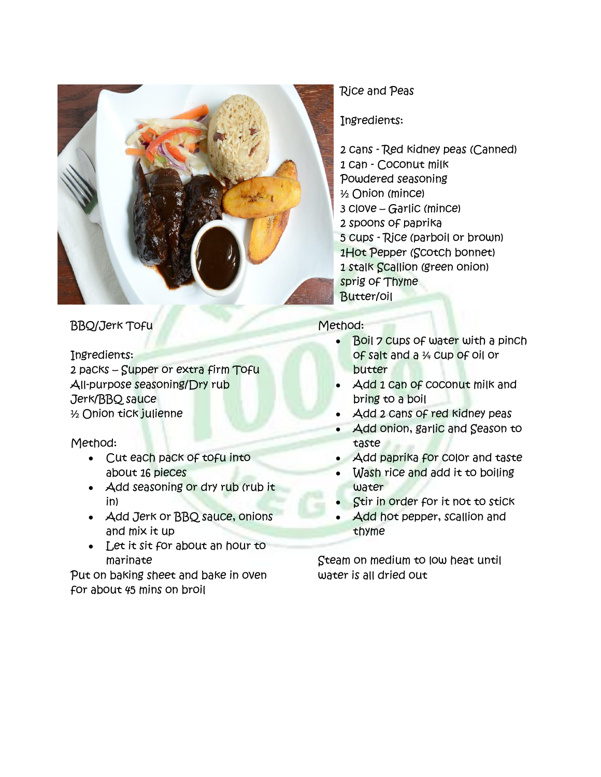

BBQ/Jerk Tofu

Ingredients: 2 packs – Supper or extra firm Tofu All-purpose seasoning/Dry rub Jerk/BBQ sauce ½ Onion tick julienne

Method:

- Cut each pack of tofu into about 16 pieces
- Add seasoning or dry rub (rub it in)
- Add Jerk or BBQ sauce, onions and mix it up
- Let it sit for about an hour to marinate

Put on baking sheet and bake in oven for about 45 mins on broil

#### Rice and Peas

Ingredients:

2 cans - Red kidney peas (Canned) 1 can - Coconut milk Powdered seasoning ½ Onion (mince) 3 clove – Garlic (mince) 2 spoons of paprika 5 cups - Rice (parboil or brown) 1Hot Pepper (Scotch bonnet) 1 stalk Scallion (green onion) sprig of Thyme Butter/oil

#### Method:

- Boil 7 cups of water with a pinch of salt and a ¼ cup of oil or butter
- Add 1 Can of coconut milk and bring to a boil
- Add 2 cans of red kidney peas
- Add onion, garlic and Season to taste
- Add paprika for color and taste
- Wash rice and add it to boiling water
- Stir in order for it not to stick
- Add hot pepper, scallion and thyme

Steam on medium to low heat until water is all dried out